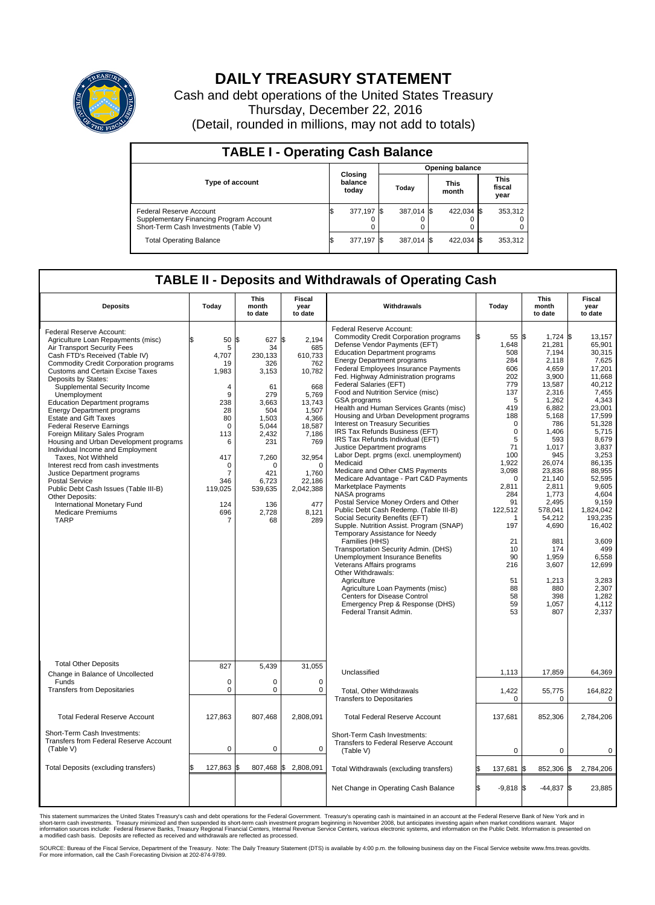

## **DAILY TREASURY STATEMENT**

Cash and debt operations of the United States Treasury Thursday, December 22, 2016 (Detail, rounded in millions, may not add to totals)

| <b>TABLE I - Operating Cash Balance</b>                                                                     |    |                             |  |                        |  |                      |  |                               |  |  |  |
|-------------------------------------------------------------------------------------------------------------|----|-----------------------------|--|------------------------|--|----------------------|--|-------------------------------|--|--|--|
|                                                                                                             |    |                             |  | <b>Opening balance</b> |  |                      |  |                               |  |  |  |
| Type of account                                                                                             |    | Closing<br>balance<br>today |  | Today                  |  | <b>This</b><br>month |  | <b>This</b><br>fiscal<br>year |  |  |  |
| Federal Reserve Account<br>Supplementary Financing Program Account<br>Short-Term Cash Investments (Table V) |    | 377,197 \$                  |  | 387,014 \$             |  | 422.034 \$           |  | 353,312                       |  |  |  |
| <b>Total Operating Balance</b>                                                                              | ß. | 377,197 \$                  |  | 387,014 \$             |  | 422,034 \$           |  | 353,312                       |  |  |  |

## **TABLE II - Deposits and Withdrawals of Operating Cash**

| <b>Deposits</b>                                                                                                                                                                                                                                                                                                                                                                                                                                                                                                                                                                                                                                                                                                                                                                                                 | Today                                                                                                                                                                      | <b>This</b><br>month<br>to date                                                                                                                                                     | <b>Fiscal</b><br>year<br>to date                                                                                                                                                            | Withdrawals                                                                                                                                                                                                                                                                                                                                                                                                                                                                                                                                                                                                                                                                                                                                                                                                                                                                                                                                                                                                                                                                                                                                                                                                                                                                    | Today                                                                                                                                                                                                                                                            | <b>This</b><br>month<br>to date                                                                                                                                                                                                                                                                             | <b>Fiscal</b><br>year<br>to date                                                                                                                                                                                                                                                                                                 |  |  |
|-----------------------------------------------------------------------------------------------------------------------------------------------------------------------------------------------------------------------------------------------------------------------------------------------------------------------------------------------------------------------------------------------------------------------------------------------------------------------------------------------------------------------------------------------------------------------------------------------------------------------------------------------------------------------------------------------------------------------------------------------------------------------------------------------------------------|----------------------------------------------------------------------------------------------------------------------------------------------------------------------------|-------------------------------------------------------------------------------------------------------------------------------------------------------------------------------------|---------------------------------------------------------------------------------------------------------------------------------------------------------------------------------------------|--------------------------------------------------------------------------------------------------------------------------------------------------------------------------------------------------------------------------------------------------------------------------------------------------------------------------------------------------------------------------------------------------------------------------------------------------------------------------------------------------------------------------------------------------------------------------------------------------------------------------------------------------------------------------------------------------------------------------------------------------------------------------------------------------------------------------------------------------------------------------------------------------------------------------------------------------------------------------------------------------------------------------------------------------------------------------------------------------------------------------------------------------------------------------------------------------------------------------------------------------------------------------------|------------------------------------------------------------------------------------------------------------------------------------------------------------------------------------------------------------------------------------------------------------------|-------------------------------------------------------------------------------------------------------------------------------------------------------------------------------------------------------------------------------------------------------------------------------------------------------------|----------------------------------------------------------------------------------------------------------------------------------------------------------------------------------------------------------------------------------------------------------------------------------------------------------------------------------|--|--|
| Federal Reserve Account:<br>Agriculture Loan Repayments (misc)<br>Air Transport Security Fees<br>Cash FTD's Received (Table IV)<br>Commodity Credit Corporation programs<br><b>Customs and Certain Excise Taxes</b><br>Deposits by States:<br>Supplemental Security Income<br>Unemployment<br><b>Education Department programs</b><br><b>Energy Department programs</b><br><b>Estate and Gift Taxes</b><br><b>Federal Reserve Earnings</b><br>Foreign Military Sales Program<br>Housing and Urban Development programs<br>Individual Income and Employment<br>Taxes. Not Withheld<br>Interest recd from cash investments<br>Justice Department programs<br>Postal Service<br>Public Debt Cash Issues (Table III-B)<br>Other Deposits:<br>International Monetary Fund<br><b>Medicare Premiums</b><br><b>TARP</b> | \$<br>50<br>5<br>4,707<br>19<br>1,983<br>$\overline{4}$<br>9<br>238<br>28<br>80<br>$\mathbf 0$<br>113<br>6<br>417<br>$\mathbf 0$<br>7<br>346<br>119,025<br>124<br>696<br>7 | l\$<br>627 \$<br>34<br>230,133<br>326<br>3,153<br>61<br>279<br>3,663<br>504<br>1,503<br>5,044<br>2,432<br>231<br>7,260<br>$\Omega$<br>421<br>6,723<br>539,635<br>136<br>2,728<br>68 | 2.194<br>685<br>610,733<br>762<br>10,782<br>668<br>5.769<br>13,743<br>1,507<br>4,366<br>18,587<br>7,186<br>769<br>32,954<br>$\Omega$<br>1,760<br>22,186<br>2,042,388<br>477<br>8.121<br>289 | Federal Reserve Account:<br><b>Commodity Credit Corporation programs</b><br>Defense Vendor Payments (EFT)<br><b>Education Department programs</b><br><b>Energy Department programs</b><br><b>Federal Employees Insurance Payments</b><br>Fed. Highway Administration programs<br>Federal Salaries (EFT)<br>Food and Nutrition Service (misc)<br><b>GSA</b> programs<br>Health and Human Services Grants (misc)<br>Housing and Urban Development programs<br>Interest on Treasury Securities<br>IRS Tax Refunds Business (EFT)<br>IRS Tax Refunds Individual (EFT)<br>Justice Department programs<br>Labor Dept. prgms (excl. unemployment)<br>Medicaid<br>Medicare and Other CMS Payments<br>Medicare Advantage - Part C&D Payments<br>Marketplace Payments<br>NASA programs<br>Postal Service Money Orders and Other<br>Public Debt Cash Redemp. (Table III-B)<br>Social Security Benefits (EFT)<br>Supple. Nutrition Assist. Program (SNAP)<br>Temporary Assistance for Needy<br>Families (HHS)<br>Transportation Security Admin. (DHS)<br>Unemployment Insurance Benefits<br>Veterans Affairs programs<br>Other Withdrawals:<br>Agriculture<br>Agriculture Loan Payments (misc)<br>Centers for Disease Control<br>Emergency Prep & Response (DHS)<br>Federal Transit Admin. | 55 \$<br>1,648<br>508<br>284<br>606<br>202<br>779<br>137<br>5<br>419<br>188<br>$\mathbf 0$<br>$\mathbf 0$<br>5<br>71<br>100<br>1,922<br>3,098<br>$\mathbf 0$<br>2,811<br>284<br>91<br>122,512<br>1<br>197<br>21<br>10<br>90<br>216<br>51<br>88<br>58<br>59<br>53 | $1,724$ \$<br>21,281<br>7,194<br>2,118<br>4,659<br>3,900<br>13,587<br>2,316<br>1.262<br>6,882<br>5,168<br>786<br>1,406<br>593<br>1.017<br>945<br>26,074<br>23,836<br>21,140<br>2,811<br>1,773<br>2,495<br>578,041<br>54,212<br>4,690<br>881<br>174<br>1,959<br>3,607<br>1,213<br>880<br>398<br>1,057<br>807 | 13,157<br>65.901<br>30.315<br>7,625<br>17,201<br>11.668<br>40,212<br>7,455<br>4.343<br>23,001<br>17,599<br>51,328<br>5,715<br>8,679<br>3.837<br>3,253<br>86.135<br>88,955<br>52,595<br>9,605<br>4.604<br>9,159<br>1,824,042<br>193.235<br>16,402<br>3,609<br>499<br>6,558<br>12,699<br>3,283<br>2.307<br>1,282<br>4.112<br>2,337 |  |  |
| <b>Total Other Deposits</b><br>Change in Balance of Uncollected                                                                                                                                                                                                                                                                                                                                                                                                                                                                                                                                                                                                                                                                                                                                                 | 827                                                                                                                                                                        | 5.439                                                                                                                                                                               | 31,055                                                                                                                                                                                      | Unclassified                                                                                                                                                                                                                                                                                                                                                                                                                                                                                                                                                                                                                                                                                                                                                                                                                                                                                                                                                                                                                                                                                                                                                                                                                                                                   | 1,113                                                                                                                                                                                                                                                            | 17,859                                                                                                                                                                                                                                                                                                      | 64,369                                                                                                                                                                                                                                                                                                                           |  |  |
| Funds<br><b>Transfers from Depositaries</b>                                                                                                                                                                                                                                                                                                                                                                                                                                                                                                                                                                                                                                                                                                                                                                     | $\mathbf 0$<br>$\mathbf 0$                                                                                                                                                 | 0<br>0                                                                                                                                                                              | $\Omega$<br>$\mathbf 0$                                                                                                                                                                     | Total, Other Withdrawals<br><b>Transfers to Depositaries</b>                                                                                                                                                                                                                                                                                                                                                                                                                                                                                                                                                                                                                                                                                                                                                                                                                                                                                                                                                                                                                                                                                                                                                                                                                   | 1,422<br>0                                                                                                                                                                                                                                                       | 55,775<br>$\mathbf 0$                                                                                                                                                                                                                                                                                       | 164,822<br>$\mathbf 0$                                                                                                                                                                                                                                                                                                           |  |  |
| <b>Total Federal Reserve Account</b>                                                                                                                                                                                                                                                                                                                                                                                                                                                                                                                                                                                                                                                                                                                                                                            | 127,863                                                                                                                                                                    | 807,468                                                                                                                                                                             | 2,808,091                                                                                                                                                                                   | <b>Total Federal Reserve Account</b>                                                                                                                                                                                                                                                                                                                                                                                                                                                                                                                                                                                                                                                                                                                                                                                                                                                                                                                                                                                                                                                                                                                                                                                                                                           | 137,681                                                                                                                                                                                                                                                          | 852,306                                                                                                                                                                                                                                                                                                     | 2,784,206                                                                                                                                                                                                                                                                                                                        |  |  |
| Short-Term Cash Investments:<br><b>Transfers from Federal Reserve Account</b><br>(Table V)                                                                                                                                                                                                                                                                                                                                                                                                                                                                                                                                                                                                                                                                                                                      | $\mathbf 0$                                                                                                                                                                | 0                                                                                                                                                                                   | 0                                                                                                                                                                                           | Short-Term Cash Investments:<br>Transfers to Federal Reserve Account<br>(Table V)                                                                                                                                                                                                                                                                                                                                                                                                                                                                                                                                                                                                                                                                                                                                                                                                                                                                                                                                                                                                                                                                                                                                                                                              | 0                                                                                                                                                                                                                                                                | $\mathbf 0$                                                                                                                                                                                                                                                                                                 | 0                                                                                                                                                                                                                                                                                                                                |  |  |
| Total Deposits (excluding transfers)                                                                                                                                                                                                                                                                                                                                                                                                                                                                                                                                                                                                                                                                                                                                                                            | 127,863<br>l\$                                                                                                                                                             | 1\$                                                                                                                                                                                 | 807,468 \$2,808,091                                                                                                                                                                         | Total Withdrawals (excluding transfers)                                                                                                                                                                                                                                                                                                                                                                                                                                                                                                                                                                                                                                                                                                                                                                                                                                                                                                                                                                                                                                                                                                                                                                                                                                        | 137,681                                                                                                                                                                                                                                                          | 852,306 \$<br>l\$                                                                                                                                                                                                                                                                                           | 2,784,206                                                                                                                                                                                                                                                                                                                        |  |  |
|                                                                                                                                                                                                                                                                                                                                                                                                                                                                                                                                                                                                                                                                                                                                                                                                                 |                                                                                                                                                                            |                                                                                                                                                                                     |                                                                                                                                                                                             | Net Change in Operating Cash Balance                                                                                                                                                                                                                                                                                                                                                                                                                                                                                                                                                                                                                                                                                                                                                                                                                                                                                                                                                                                                                                                                                                                                                                                                                                           | \$<br>$-9,818$ \$                                                                                                                                                                                                                                                | $-44,837$ \$                                                                                                                                                                                                                                                                                                | 23,885                                                                                                                                                                                                                                                                                                                           |  |  |

This statement summarizes the United States Treasury's cash and debt operations for the Federal Government. Treasury's operating cash is maintained in an account at the Federal Reserve Bank of New York and in<br>short-term ca

SOURCE: Bureau of the Fiscal Service, Department of the Treasury. Note: The Daily Treasury Statement (DTS) is available by 4:00 p.m. the following business day on the Fiscal Service website www.fms.treas.gov/dts.<br>For more